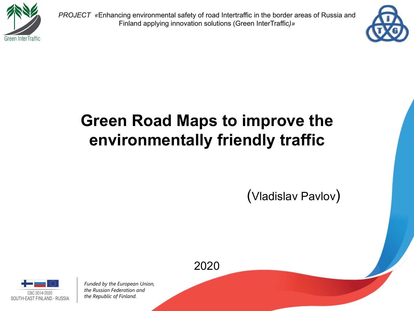

*PROJECT «*Enhancing environmental safety of road Intertraffic in the border areas of Russia and Finland applying innovation solutions (Green InterTraffic*)»*



# **Green Road Maps to improve the environmentally friendly traffic**

(Vladislav Pavlov)

2020

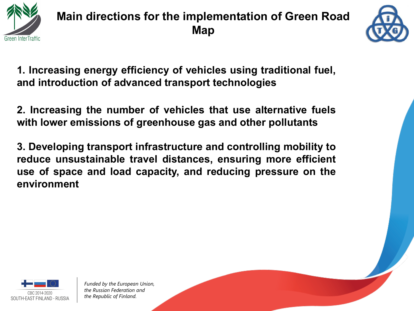

### **Main directions for the implementation of Green Road Map**



**1. Increasing energy efficiency of vehicles using traditional fuel, and introduction of advanced transport technologies**

**2. Increasing the number of vehicles that use alternative fuels with lower emissions of greenhouse gas and other pollutants**

**3. Developing transport infrastructure and controlling mobility to reduce unsustainable travel distances, ensuring more efficient use of space and load capacity, and reducing pressure on the environment**

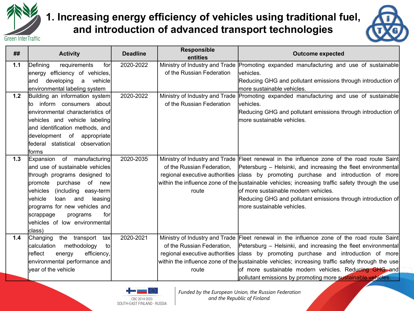

#### **1. Increasing energy efficiency of vehicles using traditional fuel, and introduction of advanced transport technologies**



| ##  | <b>Activity</b>                                      | <b>Deadline</b> | <b>Responsible</b><br>entities | <b>Outcome expected</b>                                                                          |
|-----|------------------------------------------------------|-----------------|--------------------------------|--------------------------------------------------------------------------------------------------|
| 1.1 | for<br>Defining<br>requirements                      | 2020-2022       |                                | Ministry of Industry and Trade Promoting expanded manufacturing and use of sustainable           |
|     | energy efficiency of vehicles,                       |                 | of the Russian Federation      | lvehicles.                                                                                       |
|     | vehicle<br>developing<br>a<br>land                   |                 |                                | Reducing GHG and pollutant emissions through introduction of                                     |
|     | environmental labeling system                        |                 |                                | more sustainable vehicles.                                                                       |
| 1.2 | Building an information system                       | 2020-2022       |                                | Ministry of Industry and Trade Promoting expanded manufacturing and use of sustainable           |
|     | inform consumers about<br>to                         |                 | of the Russian Federation      | lvehicles.                                                                                       |
|     | environmental characteristics of                     |                 |                                | Reducing GHG and pollutant emissions through introduction of                                     |
|     | vehicles and vehicle labeling                        |                 |                                | more sustainable vehicles.                                                                       |
|     | and identification methods, and                      |                 |                                |                                                                                                  |
|     | development of<br>appropriate                        |                 |                                |                                                                                                  |
|     | federal statistical observation                      |                 |                                |                                                                                                  |
|     | forms                                                |                 |                                |                                                                                                  |
| 1.3 | Expansion of manufacturing                           | 2020-2035       |                                | Ministry of Industry and Trade Fleet renewal in the influence zone of the road route Saint       |
|     | and use of sustainable vehicles                      |                 | of the Russian Federation,     | Petersburg – Helsinki, and increasing the fleet environmental                                    |
|     | through programs designed to                         |                 | regional executive authorities | class by promoting purchase and introduction of more                                             |
|     | purchase of new<br>Ipromote                          |                 |                                | within the influence zone of the sustainable vehicles; increasing traffic safety through the use |
|     | vehicles<br>(including easy-term)                    |                 | route                          | of more sustainable modern vehicles.                                                             |
|     | vehicle<br>loan<br>and<br>leasing                    |                 |                                | Reducing GHG and pollutant emissions through introduction of                                     |
|     | programs for new vehicles and                        |                 |                                | lmore sustainable vehicles.                                                                      |
|     | for<br>scrappage<br>programs                         |                 |                                |                                                                                                  |
|     | vehicles of low environmental                        |                 |                                |                                                                                                  |
|     | class)                                               |                 |                                |                                                                                                  |
| 1.4 | Changing<br>the transport<br>tax                     | 2020-2021       |                                | Ministry of Industry and Trade Fleet renewal in the influence zone of the road route Saint       |
|     | calculation<br>methodology<br>tol                    |                 | of the Russian Federation,     | Petersburg - Helsinki, and increasing the fleet environmental                                    |
|     | reflect<br>efficiency,<br>energy                     |                 |                                | regional executive authorities class by promoting purchase and introduction of more              |
|     | environmental performance and<br>year of the vehicle |                 |                                | within the influence zone of the sustainable vehicles; increasing traffic safety through the use |
|     |                                                      |                 | route                          | of more sustainable modern vehicles. Reducing GHG and                                            |
|     |                                                      |                 |                                | pollutant emissions by promoting more sustainable vehicles.                                      |

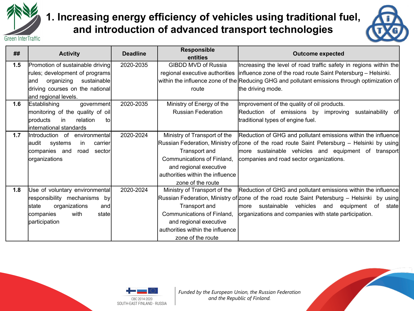

#### **1. Increasing energy efficiency of vehicles using traditional fuel, and introduction of advanced transport technologies**



| ##  | <b>Activity</b>                     | <b>Deadline</b> | <b>Responsible</b><br>entities   | <b>Outcome expected</b>                                                                       |
|-----|-------------------------------------|-----------------|----------------------------------|-----------------------------------------------------------------------------------------------|
| 1.5 | Promotion of sustainable driving    | 2020-2035       | <b>GIBDD MVD of Russia</b>       | Increasing the level of road traffic safety in regions within the                             |
|     | rules; development of programs      |                 |                                  | regional executive authorities  influence zone of the road route Saint Petersburg - Helsinki. |
|     | organizing<br>sustainable<br>land   |                 |                                  | within the influence zone of the Reducing GHG and pollutant emissions through optimization of |
|     | driving courses on the national     |                 | route                            | the driving mode.                                                                             |
|     | and regional levels.                |                 |                                  |                                                                                               |
| 1.6 | Establishing<br>government          | 2020-2035       | Ministry of Energy of the        | Improvement of the quality of oil products.                                                   |
|     | monitoring of the quality of oil    |                 | <b>Russian Federation</b>        | Reduction of emissions by improving<br>sustainability of                                      |
|     | Iproducts<br>in<br>relation<br>to   |                 |                                  | traditional types of engine fuel.                                                             |
|     | linternational standards            |                 |                                  |                                                                                               |
| 1.7 | Introduction of<br>environmental    | 2020-2024       | Ministry of Transport of the     | Reduction of GHG and pollutant emissions within the influence                                 |
|     | laudit<br>systems<br>carrier<br>in. |                 |                                  | Russian Federation, Ministry of zone of the road route Saint Petersburg – Helsinki by using   |
|     | companies and<br>road<br>sector     |                 | Transport and                    | more sustainable vehicles and equipment of transport                                          |
|     | organizations                       |                 | Communications of Finland,       | companies and road sector organizations.                                                      |
|     |                                     |                 | and regional executive           |                                                                                               |
|     |                                     |                 | authorities within the influence |                                                                                               |
|     |                                     |                 | zone of the route                |                                                                                               |
| 1.8 | Use of voluntary environmental      | 2020-2024       | Ministry of Transport of the     | Reduction of GHG and pollutant emissions within the influence                                 |
|     | responsibility mechanisms<br>by     |                 |                                  | Russian Federation, Ministry of zone of the road route Saint Petersburg – Helsinki by using   |
|     | organizations<br>lstate<br>and      |                 | Transport and                    | sustainable<br>vehicles and equipment of<br>statel<br>lmore                                   |
|     | with<br>companies<br>state          |                 | Communications of Finland,       | organizations and companies with state participation.                                         |
|     | participation                       |                 | and regional executive           |                                                                                               |
|     |                                     |                 | authorities within the influence |                                                                                               |
|     |                                     |                 | zone of the route                |                                                                                               |



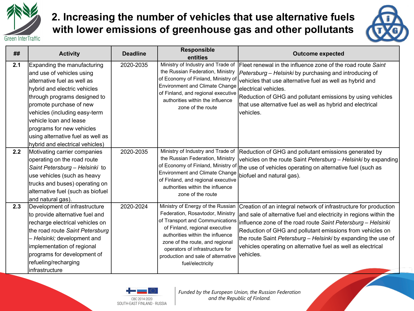

#### **2. Increasing the number of vehicles that use alternative fuels with lower emissions of greenhouse gas and other pollutants**



| ##  | <b>Activity</b>                                                                                                                                                                                                                                                                                                                                    | <b>Deadline</b> | <b>Responsible</b><br>entities                                                                                                                                                                                                                                                                                 | <b>Outcome expected</b>                                                                                                                                                                                                                                                                                                                                                                                           |
|-----|----------------------------------------------------------------------------------------------------------------------------------------------------------------------------------------------------------------------------------------------------------------------------------------------------------------------------------------------------|-----------------|----------------------------------------------------------------------------------------------------------------------------------------------------------------------------------------------------------------------------------------------------------------------------------------------------------------|-------------------------------------------------------------------------------------------------------------------------------------------------------------------------------------------------------------------------------------------------------------------------------------------------------------------------------------------------------------------------------------------------------------------|
| 2.1 | Expanding the manufacturing<br>and use of vehicles using<br>alternative fuel as well as<br>hybrid and electric vehicles<br>through programs designed to<br>promote purchase of new<br>vehicles (including easy-term<br>vehicle loan and lease<br>programs for new vehicles<br>using alternative fuel as well as<br>hybrid and electrical vehicles) | 2020-2035       | Ministry of Industry and Trade of<br>the Russian Federation, Ministry<br>of Economy of Finland, Ministry of<br><b>Environment and Climate Change</b><br>of Finland, and regional executive<br>authorities within the influence<br>zone of the route                                                            | Fleet renewal in the influence zone of the road route Saint<br>Petersburg - Helsinki by purchasing and introducing of<br>vehicles that use alternative fuel as well as hybrid and<br>lelectrical vehicles.<br>Reduction of GHG and pollutant emissions by using vehicles<br>that use alternative fuel as well as hybrid and electrical<br>lvehicles.                                                              |
| 2.2 | Motivating carrier companies<br>operating on the road route<br>Saint Petersburg - Helsinki to<br>use vehicles (such as heavy<br>trucks and buses) operating on<br>alternative fuel (such as biofuel<br>and natural gas).                                                                                                                           | 2020-2035       | Ministry of Industry and Trade of<br>the Russian Federation, Ministry<br>Environment and Climate Change<br>of Finland, and regional executive<br>authorities within the influence<br>zone of the route                                                                                                         | Reduction of GHG and pollutant emissions generated by<br>vehicles on the route Saint Petersburg - Helsinki by expanding<br>of Economy of Finland, Ministry of $ _{\sf the}$ use of vehicles operating on alternative fuel (such as<br>biofuel and natural gas).                                                                                                                                                   |
| 2.3 | Development of infrastructure<br>to provide alternative fuel and<br>recharge electrical vehicles on<br>the road route Saint Petersburg<br>- Helsinki; development and<br>implementation of regional<br>programs for development of<br>refueling/recharging<br>Infrastructure                                                                       | 2020-2024       | Ministry of Energy of the Russian<br>Federation, Rosavtodor, Ministry<br>of Transport and Communications<br>of Finland, regional executive<br>authorities within the influence<br>zone of the route, and regional<br>operators of infrastructure for<br>production and sale of alternative<br>fuel/electricity | Creation of an integral network of infrastructure for production<br>and sale of alternative fuel and electricity in regions within the<br>influence zone of the road route Saint Petersburg - Helsinki<br>Reduction of GHG and pollutant emissions from vehicles on<br>the route Saint Petersburg – Helsinki by expanding the use of<br>vehicles operating on alternative fuel as well as electrical<br>vehicles. |

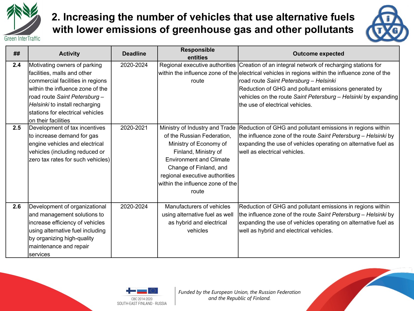

#### **2. Increasing the number of vehicles that use alternative fuels with lower emissions of greenhouse gas and other pollutants**



| ##  | <b>Activity</b>                                                                                                                                                                                                                                                    | <b>Deadline</b> | Responsible<br>entities                                                                                                                                                                                                                                   | <b>Outcome expected</b>                                                                                                                                                                                                                                                                                                                                                                                |
|-----|--------------------------------------------------------------------------------------------------------------------------------------------------------------------------------------------------------------------------------------------------------------------|-----------------|-----------------------------------------------------------------------------------------------------------------------------------------------------------------------------------------------------------------------------------------------------------|--------------------------------------------------------------------------------------------------------------------------------------------------------------------------------------------------------------------------------------------------------------------------------------------------------------------------------------------------------------------------------------------------------|
| 2.4 | Motivating owners of parking<br>facilities, malls and other<br>commercial facilities in regions<br>lwithin the influence zone of the<br>road route Saint Petersburg -<br>Helsinki to install recharging<br>stations for electrical vehicles<br>on their facilities | 2020-2024       | route                                                                                                                                                                                                                                                     | Regional executive authorities Creation of an integral network of recharging stations for<br>within the influence zone of the electrical vehicles in regions within the influence zone of the<br>road route Saint Petersburg - Helsinki<br>Reduction of GHG and pollutant emissions generated by<br>vehicles on the route Saint Petersburg - Helsinki by expanding<br>Ithe use of electrical vehicles. |
| 2.5 | Development of tax incentives<br>to increase demand for gas<br>engine vehicles and electrical<br>vehicles (including reduced or<br>zero tax rates for such vehicles)                                                                                               | 2020-2021       | Ministry of Industry and Trade<br>of the Russian Federation,<br>Ministry of Economy of<br>Finland, Ministry of<br><b>Environment and Climate</b><br>Change of Finland, and<br>regional executive authorities<br>within the influence zone of the<br>route | Reduction of GHG and pollutant emissions in regions within<br>the influence zone of the route Saint Petersburg - Helsinki by<br>expanding the use of vehicles operating on alternative fuel as<br>lwell as electrical vehicles.                                                                                                                                                                        |
| 2.6 | Development of organizational<br>and management solutions to<br>increase efficiency of vehicles<br>using alternative fuel including<br>by organizing high-quality<br>maintenance and repair<br>services                                                            | 2020-2024       | Manufacturers of vehicles<br>using alternative fuel as well<br>as hybrid and electrical<br>vehicles                                                                                                                                                       | Reduction of GHG and pollutant emissions in regions within<br>the influence zone of the route Saint Petersburg - Helsinki by<br>expanding the use of vehicles operating on alternative fuel as<br>well as hybrid and electrical vehicles.                                                                                                                                                              |

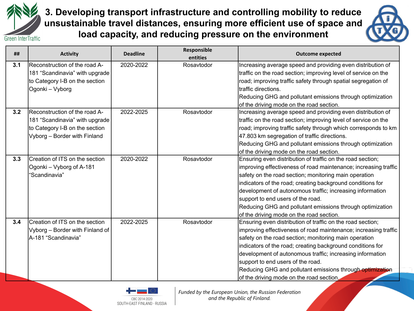

**3. Developing transport infrastructure and controlling mobility to reduce unsustainable travel distances, ensuring more efficient use of space and load capacity, and reducing pressure on the environment**



| ##  | <b>Activity</b>                      | <b>Deadline</b> | Responsible<br>entities | <b>Outcome expected</b>                                         |
|-----|--------------------------------------|-----------------|-------------------------|-----------------------------------------------------------------|
| 3.1 | <b>Reconstruction of the road A-</b> | 2020-2022       | Rosavtodor              | Increasing average speed and providing even distribution of     |
|     | 181 "Scandinavia" with upgrade       |                 |                         | traffic on the road section; improving level of service on the  |
|     | to Category I-B on the section       |                 |                         | road; improving traffic safety through spatial segregation of   |
|     | Ogonki – Vyborg                      |                 |                         | traffic directions.                                             |
|     |                                      |                 |                         | Reducing GHG and pollutant emissions through optimization       |
|     |                                      |                 |                         | of the driving mode on the road section.                        |
| 3.2 | <b>Reconstruction of the road A-</b> | 2022-2025       | Rosavtodor              | Increasing average speed and providing even distribution of     |
|     | 181 "Scandinavia" with upgrade       |                 |                         | traffic on the road section; improving level of service on the  |
|     | to Category I-B on the section       |                 |                         | road; improving traffic safety through which corresponds to km  |
|     | Vyborg - Border with Finland         |                 |                         | 47.803 km segregation of traffic directions.                    |
|     |                                      |                 |                         | Reducing GHG and pollutant emissions through optimization       |
|     |                                      |                 |                         | of the driving mode on the road section.                        |
| 3.3 | Creation of ITS on the section       | 2020-2022       | Rosavtodor              | Ensuring even distribution of traffic on the road section;      |
|     | Ogonki - Vyborg of A-181             |                 |                         | improving effectiveness of road maintenance; increasing traffic |
|     | 'Scandinavia"                        |                 |                         | safety on the road section; monitoring main operation           |
|     |                                      |                 |                         | indicators of the road; creating background conditions for      |
|     |                                      |                 |                         | development of autonomous traffic; increasing information       |
|     |                                      |                 |                         | support to end users of the road.                               |
|     |                                      |                 |                         | Reducing GHG and pollutant emissions through optimization       |
|     |                                      |                 |                         | of the driving mode on the road section.                        |
| 3.4 | Creation of ITS on the section       | 2022-2025       | Rosavtodor              | Ensuring even distribution of traffic on the road section;      |
|     | Vyborg - Border with Finland of      |                 |                         | improving effectiveness of road maintenance; increasing traffic |
|     | A-181 "Scandinavia"                  |                 |                         | safety on the road section; monitoring main operation           |
|     |                                      |                 |                         | indicators of the road; creating background conditions for      |
|     |                                      |                 |                         | development of autonomous traffic; increasing information       |
|     |                                      |                 |                         | support to end users of the road.                               |
|     |                                      |                 |                         | Reducing GHG and pollutant emissions through optimization       |
|     |                                      |                 |                         | of the driving mode on the road section.                        |

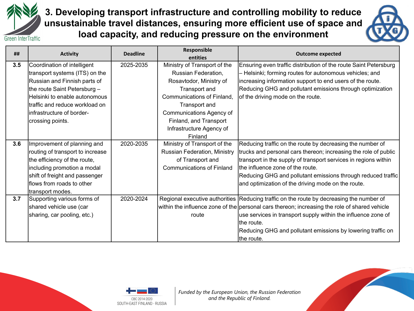

**3. Developing transport infrastructure and controlling mobility to reduce unsustainable travel distances, ensuring more efficient use of space and load capacity, and reducing pressure on the environment**



| ##  | <b>Activity</b>                  | <b>Deadline</b> | Responsible<br>entities          | <b>Outcome expected</b>                                                                       |
|-----|----------------------------------|-----------------|----------------------------------|-----------------------------------------------------------------------------------------------|
| 3.5 | Coordination of intelligent      | 2025-2035       | Ministry of Transport of the     | Ensuring even traffic distribution of the route Saint Petersburg                              |
|     | transport systems (ITS) on the   |                 | Russian Federation,              | Helsinki; forming routes for autonomous vehicles; and                                         |
|     | Russian and Finnish parts of     |                 | Rosavtodor, Ministry of          | increasing information support to end users of the route.                                     |
|     | the route Saint Petersburg -     |                 | Transport and                    | Reducing GHG and pollutant emissions through optimization                                     |
|     | Helsinki to enable autonomous    |                 | Communications of Finland,       | of the driving mode on the route.                                                             |
|     | ltraffic and reduce workload on  |                 |                                  |                                                                                               |
|     |                                  |                 | Transport and                    |                                                                                               |
|     | linfrastructure of border-       |                 | Communications Agency of         |                                                                                               |
|     | crossing points.                 |                 | Finland, and Transport           |                                                                                               |
|     |                                  |                 | Infrastructure Agency of         |                                                                                               |
|     |                                  |                 | Finland                          |                                                                                               |
| 3.6 | Improvement of planning and      | 2020-2035       | Ministry of Transport of the     | Reducing traffic on the route by decreasing the number of                                     |
|     | routing of transport to increase |                 | Russian Federation, Ministry     | trucks and personal cars thereon; increasing the role of public                               |
|     | the efficiency of the route,     |                 | of Transport and                 | transport in the supply of transport services in regions within                               |
|     | including promotion a modal      |                 | <b>Communications of Finland</b> | the influence zone of the route.                                                              |
|     | shift of freight and passenger   |                 |                                  | Reducing GHG and pollutant emissions through reduced traffic                                  |
|     | flows from roads to other        |                 |                                  | and optimization of the driving mode on the route.                                            |
|     | transport modes.                 |                 |                                  |                                                                                               |
| 3.7 | Supporting various forms of      | 2020-2024       |                                  | Regional executive authorities Reducing traffic on the route by decreasing the number of      |
|     | shared vehicle use (car          |                 |                                  | within the influence zone of the personal cars thereon; increasing the role of shared vehicle |
|     | sharing, car pooling, etc.)      |                 | route                            | use services in transport supply within the influence zone of                                 |
|     |                                  |                 |                                  | Ithe route.                                                                                   |
|     |                                  |                 |                                  | Reducing GHG and pollutant emissions by lowering traffic on                                   |
|     |                                  |                 |                                  | the route.                                                                                    |



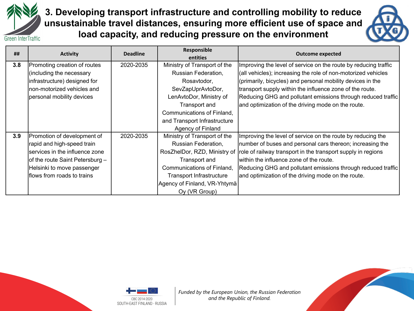

**3. Developing transport infrastructure and controlling mobility to reduce unsustainable travel distances, ensuring more efficient use of space and load capacity, and reducing pressure on the environment**



| ##  | <b>Activity</b>                 | <b>Deadline</b> | Responsible                  | <b>Outcome expected</b>                                         |
|-----|---------------------------------|-----------------|------------------------------|-----------------------------------------------------------------|
|     |                                 |                 | entities                     |                                                                 |
| 3.8 | Promoting creation of routes    | 2020-2035       | Ministry of Transport of the | Improving the level of service on the route by reducing traffic |
|     | (including the necessary        |                 | Russian Federation,          | (all vehicles); increasing the role of non-motorized vehicles   |
|     | infrastructure) designed for    |                 | Rosavtodor,                  | (primarily, bicycles) and personal mobility devices in the      |
|     | non-motorized vehicles and      |                 | SevZapUprAvtoDor,            | transport supply within the influence zone of the route.        |
|     | personal mobility devices       |                 | LenAvtoDor, Ministry of      | Reducing GHG and pollutant emissions through reduced traffic    |
|     |                                 |                 | Transport and                | and optimization of the driving mode on the route.              |
|     |                                 |                 | Communications of Finland,   |                                                                 |
|     |                                 |                 | and Transport Infrastructure |                                                                 |
|     |                                 |                 | Agency of Finland            |                                                                 |
| 3.9 | Promotion of development of     | 2020-2035       | Ministry of Transport of the | Improving the level of service on the route by reducing the     |
|     | rapid and high-speed train      |                 | Russian Federation,          | number of buses and personal cars thereon; increasing the       |
|     | services in the influence zone  |                 | RosZhelDor, RZD, Ministry of | role of railway transport in the transport supply in regions    |
|     | of the route Saint Petersburg - |                 | Transport and                | within the influence zone of the route.                         |
|     | Helsinki to move passenger      |                 | Communications of Finland,   | Reducing GHG and pollutant emissions through reduced traffic    |
|     | flows from roads to trains      |                 | Transport Infrastructure     | and optimization of the driving mode on the route.              |
|     |                                 |                 | Agency of Finland, VR-Yhtymä |                                                                 |
|     |                                 |                 | Oy (VR Group)                |                                                                 |